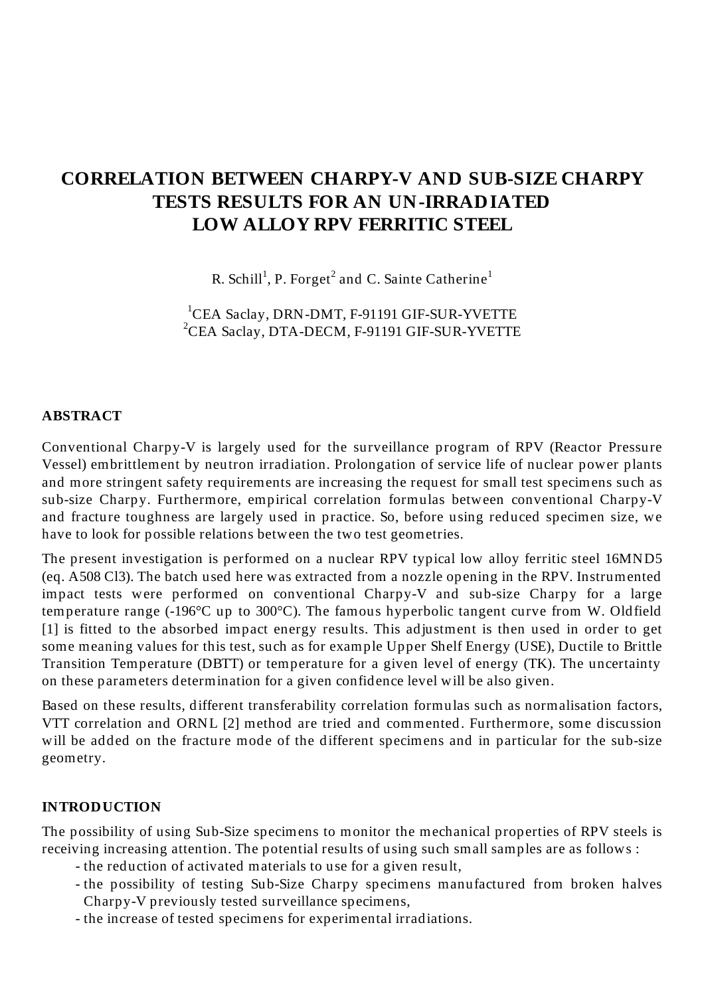# **CORRELATION BETWEEN CHARPY-V AND SUB-SIZE CHARPY TESTS RESULTS FOR AN UN-IRRADIATED LOW ALLOY RPV FERRITIC STEEL**

R. Schill<sup>1</sup>, P. Forget<sup>2</sup> and C. Sainte Catherine<sup>1</sup>

<sup>1</sup>CEA Saclay, DRN-DMT, F-91191 GIF-SUR-YVETTE <sup>2</sup>CEA Saclay, DTA-DECM, F-91191 GIF-SUR-YVETTE

#### **ABSTRACT**

Conventional Charpy-V is largely used for the surveillance program of RPV (Reactor Pressure Vessel) embrittlement by neutron irradiation. Prolongation of service life of nuclear power plants and more stringent safety requirements are increasing the request for small test specimens such as sub-size Charpy. Furthermore, empirical correlation formulas between conventional Charpy-V and fracture toughness are largely used in practice. So, before using reduced specimen size, we have to look for possible relations between the two test geometries.

The present investigation is performed on a nuclear RPV typical low alloy ferritic steel 16MND5 (eq. A508 Cl3). The batch used here was extracted from a nozzle opening in the RPV. Instrumented impact tests were performed on conventional Charpy-V and sub-size Charpy for a large temperature range (-196°C up to 300°C). The famous hyperbolic tangent curve from W. Oldfield [1] is fitted to the absorbed impact energy results. This adjustment is then used in order to get some meaning values for this test, such as for example Upper Shelf Energy (USE), Ductile to Brittle Transition Temperature (DBTT) or temperature for a given level of energy (TK). The uncertainty on these parameters determination for a given confidence level will be also given.

Based on these results, different transferability correlation formulas such as normalisation factors, VTT correlation and ORNL [2] method are tried and commented. Furthermore, some discussion will be added on the fracture mode of the different specimens and in particular for the sub-size geometry.

#### **INTRODUCTION**

The possibility of using Sub-Size specimens to monitor the mechanical properties of RPV steels is receiving increasing attention. The potential results of using such small samples are as follows :

- the reduction of activated materials to use for a given result,
- the possibility of testing Sub-Size Charpy specimens manufactured from broken halves Charpy-V previously tested surveillance specimens,
- the increase of tested specimens for experimental irradiations.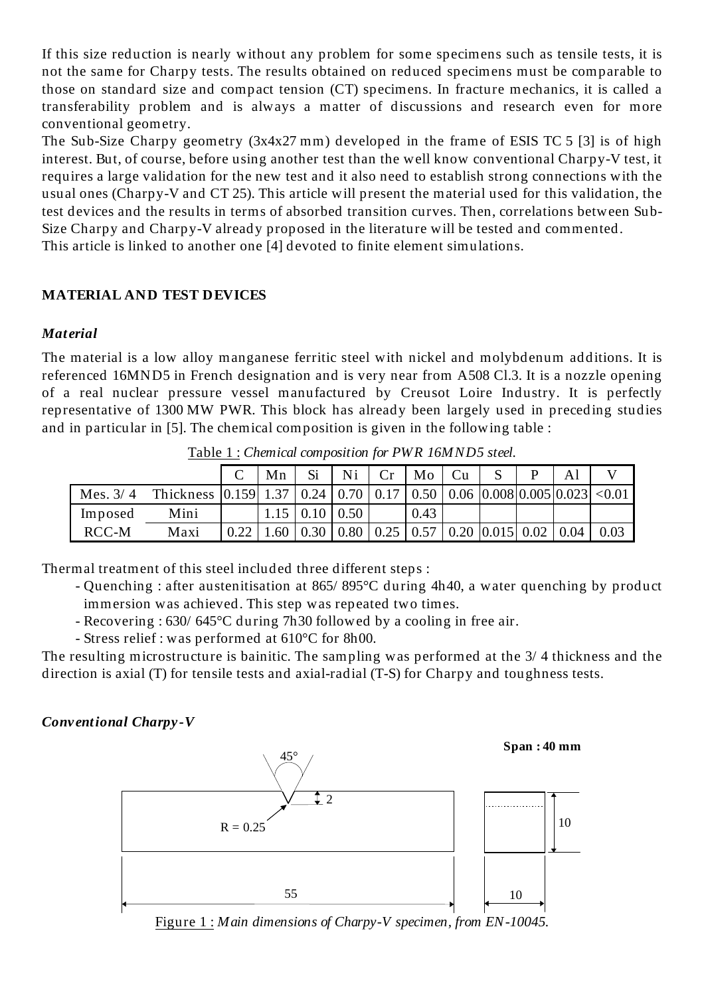If this size reduction is nearly without any problem for some specimens such as tensile tests, it is not the same for Charpy tests. The results obtained on reduced specimens must be comparable to those on standard size and compact tension (CT) specimens. In fracture mechanics, it is called a transferability problem and is always a matter of discussions and research even for more conventional geometry.

The Sub-Size Charpy geometry (3x4x27 mm) developed in the frame of ESIS TC 5 [3] is of high interest. But, of course, before using another test than the well know conventional Charpy-V test, it requires a large validation for the new test and it also need to establish strong connections with the usual ones (Charpy-V and CT 25). This article will present the material used for this validation, the test devices and the results in terms of absorbed transition curves. Then, correlations between Sub-Size Charpy and Charpy-V already proposed in the literature will be tested and commented. This article is linked to another one [4] devoted to finite element simulations.

#### **MATERIAL AND TEST DEVICES**

#### *Material*

The material is a low alloy manganese ferritic steel with nickel and molybdenum additions. It is referenced 16MND5 in French designation and is very near from A508 Cl.3. It is a nozzle opening of a real nuclear pressure vessel manufactured by Creusot Loire Industry. It is perfectly representative of 1300 MW PWR. This block has already been largely used in preceding studies and in particular in [5]. The chemical composition is given in the following table :

|            |                                                                          |      | Mn  | Si                      | Ni                            | Cr | Mo   | Cu |                                                      | Al   |      |
|------------|--------------------------------------------------------------------------|------|-----|-------------------------|-------------------------------|----|------|----|------------------------------------------------------|------|------|
| Mes. $3/4$ | Thickness $ 0.159 1.37 0.24 0.70 0.17 0.50 0.06 0.008 0.005 0.023 <0.01$ |      |     |                         |                               |    |      |    |                                                      |      |      |
| Imposed    | Mini                                                                     |      |     | $\vert 0.10 \vert 0.50$ |                               |    | 0.43 |    |                                                      |      |      |
| RCC-M      | Maxi                                                                     | 0.22 | .60 | $\vert 0.30 \vert$      | $\vert 0.80 \vert 0.25 \vert$ |    |      |    | $\vert 0.57 \vert 0.20 \vert 0.015 \vert 0.02 \vert$ | 0.04 | 0.03 |

Table 1 : *Chemical composition for PWR 16MND5 steel.*

Thermal treatment of this steel included three different steps :

- Quenching : after austenitisation at 865/ 895°C during 4h40, a water quenching by product immersion was achieved. This step was repeated two times.
- Recovering : 630/ 645°C during 7h30 followed by a cooling in free air.
- Stress relief : was performed at 610°C for 8h00.

The resulting microstructure is bainitic. The sampling was performed at the 3/ 4 thickness and the direction is axial (T) for tensile tests and axial-radial (T-S) for Charpy and toughness tests.

## *Conventional Charpy-V*



Figure 1 : *Main dimensions of Charpy-V specimen, from EN-10045.*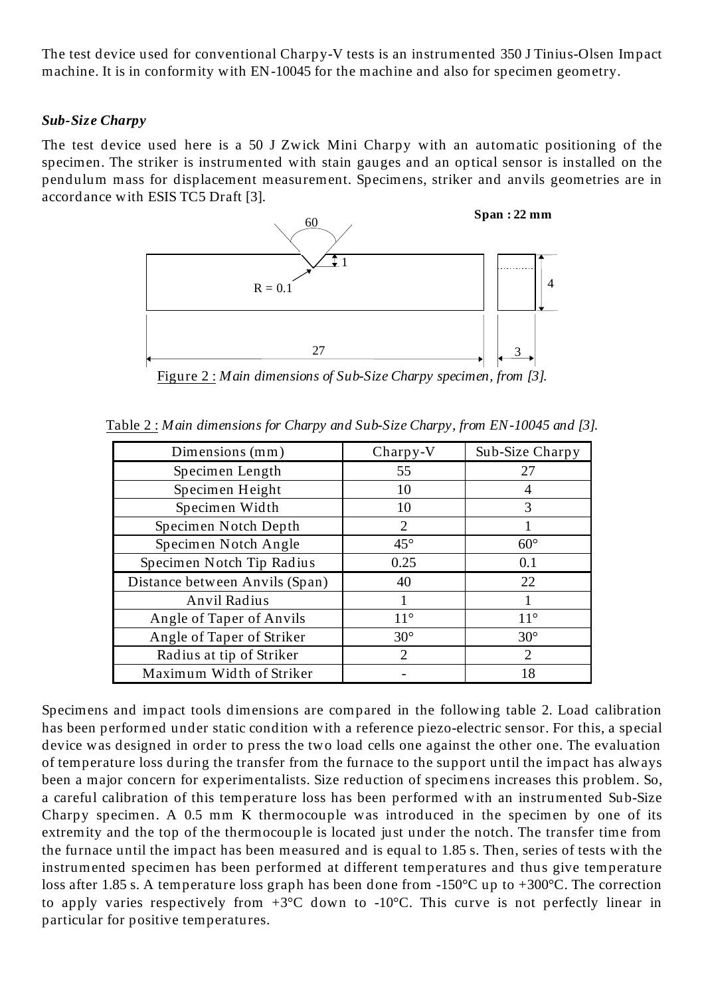The test device used for conventional Charpy-V tests is an instrumented 350 J Tinius-Olsen Impact machine. It is in conformity with EN-10045 for the machine and also for specimen geometry.

#### *Sub-Size Charpy*

The test device used here is a 50 J Zwick Mini Charpy with an automatic positioning of the specimen. The striker is instrumented with stain gauges and an optical sensor is installed on the pendulum mass for displacement measurement. Specimens, striker and anvils geometries are in accordance with ESIS TC5 Draft [3].



Figure 2 : *Main dimensions of Sub-Size Charpy specimen, from [3].*

| Dimensions (mm)                | $Chary-V$                   | Sub-Size Charpy             |
|--------------------------------|-----------------------------|-----------------------------|
| Specimen Length                | 55                          | 27                          |
| Specimen Height                | 10                          | 4                           |
| Specimen Width                 | 10                          | 3                           |
| Specimen Notch Depth           | $\mathcal{D}_{\mathcal{L}}$ |                             |
| Specimen Notch Angle           | $45^{\circ}$                | $60^\circ$                  |
| Specimen Notch Tip Radius      | 0.25                        | 0.1                         |
| Distance between Anvils (Span) | 40                          | 22                          |
| Anvil Radius                   |                             |                             |
| Angle of Taper of Anvils       | $11^{\circ}$                | $11^{\circ}$                |
| Angle of Taper of Striker      | $30^\circ$                  | $30^\circ$                  |
| Radius at tip of Striker       | $\mathcal{D}_{\mathcal{A}}$ | $\mathcal{D}_{\mathcal{L}}$ |
| Maximum Width of Striker       |                             | 18                          |

Table 2 : *Main dimensions for Charpy and Sub-Size Charpy, from EN-10045 and [3].*

Specimens and impact tools dimensions are compared in the following table 2. Load calibration has been performed under static condition with a reference piezo-electric sensor. For this, a special device was designed in order to press the two load cells one against the other one. The evaluation of temperature loss during the transfer from the furnace to the support until the impact has always been a major concern for experimentalists. Size reduction of specimens increases this problem. So, a careful calibration of this temperature loss has been performed with an instrumented Sub-Size Charpy specimen. A 0.5 mm K thermocouple was introduced in the specimen by one of its extremity and the top of the thermocouple is located just under the notch. The transfer time from the furnace until the impact has been measured and is equal to 1.85 s. Then, series of tests with the instrumented specimen has been performed at different temperatures and thus give temperature loss after 1.85 s. A temperature loss graph has been done from -150°C up to +300°C. The correction to apply varies respectively from  $+3^{\circ}$ C down to  $-10^{\circ}$ C. This curve is not perfectly linear in particular for positive temperatures.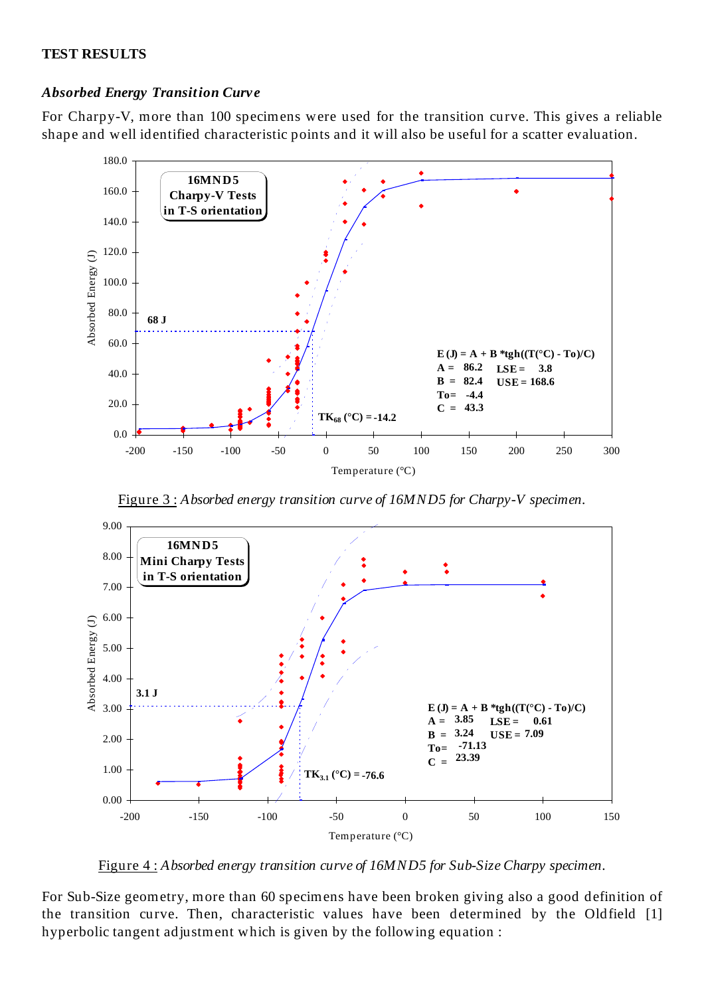#### **TEST RESULTS**

#### *Absorbed Energy Transition Curve*

For Charpy-V, more than 100 specimens were used for the transition curve. This gives a reliable shape and well identified characteristic points and it will also be useful for a scatter evaluation.



Figure 3 : *Absorbed energy transition curve of 16MND5 for Charpy-V specimen.*



Figure 4 : *Absorbed energy transition curve of 16MND5 for Sub-Size Charpy specimen.*

For Sub-Size geometry, more than 60 specimens have been broken giving also a good definition of the transition curve. Then, characteristic values have been determined by the Oldfield [1] hyperbolic tangent adjustment which is given by the following equation :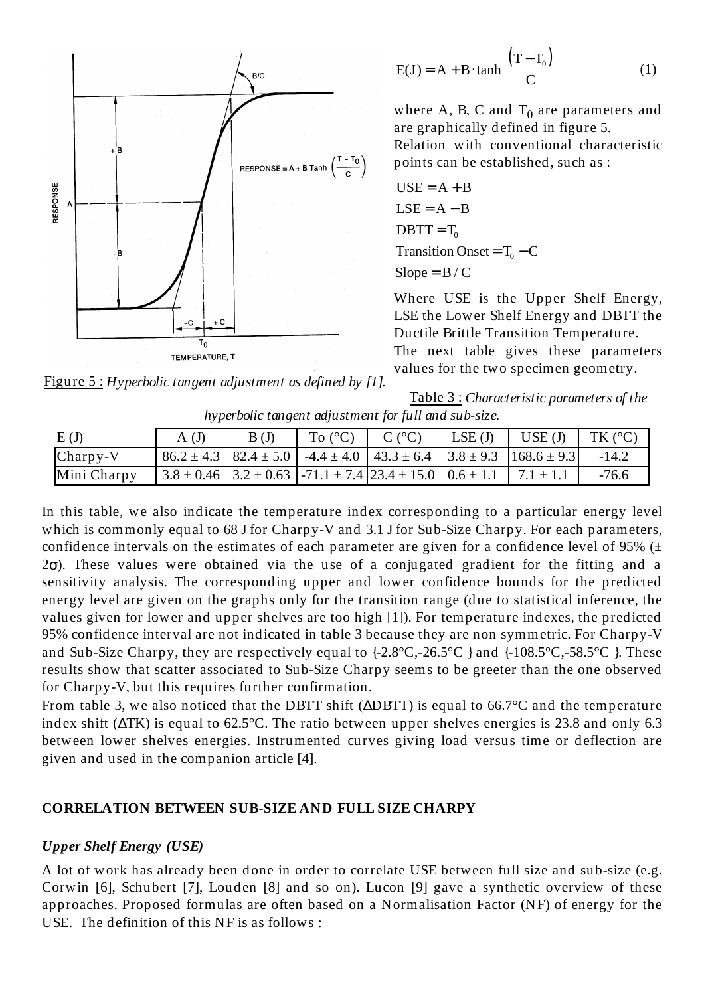

$$
E(J) = A + B \cdot \tanh\left[\frac{(T - T_0)}{C}\right]
$$
 (1)

where A, B, C and  $T_0$  are parameters and are graphically defined in figure 5.

Relation with conventional characteristic points can be established, such as :

$$
USE = A + B
$$
  
\n
$$
LSE = A - B
$$
  
\n
$$
DBTT = T_0
$$
  
\n
$$
Transition Onset = T_0 - C
$$
  
\n
$$
Slope = B / C
$$

Where USE is the Upper Shelf Energy, LSE the Lower Shelf Energy and DBTT the Ductile Brittle Transition Temperature. The next table gives these parameters values for the two specimen geometry.

Figure 5 : *Hyperbolic tangent adjustment as defined by [1].*

|                                                      | Table 3: Characteristic parameters of the |
|------------------------------------------------------|-------------------------------------------|
| hyperbolic tangent adjustment for full and sub-size. |                                           |

| E(J)        | A(J) | B(J) | To $(^{\circ}C)$ | $C (^{\circ}C)$                                                                     | LSE(J) | USE(J)                                                                                              | TK (°C) |
|-------------|------|------|------------------|-------------------------------------------------------------------------------------|--------|-----------------------------------------------------------------------------------------------------|---------|
| $Chary-V$   |      |      |                  |                                                                                     |        | $86.2 \pm 4.3$   $82.4 \pm 5.0$   $-4.4 \pm 4.0$   $43.3 \pm 6.4$   $3.8 \pm 9.3$   $168.6 \pm 9.3$ | $-14.2$ |
| Mini Charpy |      |      |                  | $3.8 \pm 0.46$   $3.2 \pm 0.63$   -71.1 $\pm$ 7.4   23.4 $\pm$ 15.0   0.6 $\pm$ 1.1 |        | $7.1 + 1.1$                                                                                         | $-76.6$ |

In this table, we also indicate the temperature index corresponding to a particular energy level which is commonly equal to 68 J for Charpy-V and 3.1 J for Sub-Size Charpy. For each parameters, confidence intervals on the estimates of each parameter are given for a confidence level of 95%  $(±$  $2\sigma$ ). These values were obtained via the use of a conjugated gradient for the fitting and a sensitivity analysis. The corresponding upper and lower confidence bounds for the predicted energy level are given on the graphs only for the transition range (due to statistical inference, the values given for lower and upper shelves are too high [1]). For temperature indexes, the predicted 95% confidence interval are not indicated in table 3 because they are non symmetric. For Charpy-V and Sub-Size Charpy, they are respectively equal to {-2.8°C,-26.5°C } and {-108.5°C,-58.5°C }. These results show that scatter associated to Sub-Size Charpy seems to be greeter than the one observed for Charpy-V, but this requires further confirmation.

From table 3, we also noticed that the DBTT shift (∆DBTT) is equal to 66.7°C and the temperature index shift (∆TK) is equal to 62.5°C. The ratio between upper shelves energies is 23.8 and only 6.3 between lower shelves energies. Instrumented curves giving load versus time or deflection are given and used in the companion article [4].

#### **CORRELATION BETWEEN SUB-SIZE AND FULL SIZE CHARPY**

#### *Upper Shelf Energy (USE)*

A lot of work has already been done in order to correlate USE between full size and sub-size (e.g. Corwin [6], Schubert [7], Louden [8] and so on). Lucon [9] gave a synthetic overview of these approaches. Proposed formulas are often based on a Normalisation Factor (NF) of energy for the USE. The definition of this NF is as follows :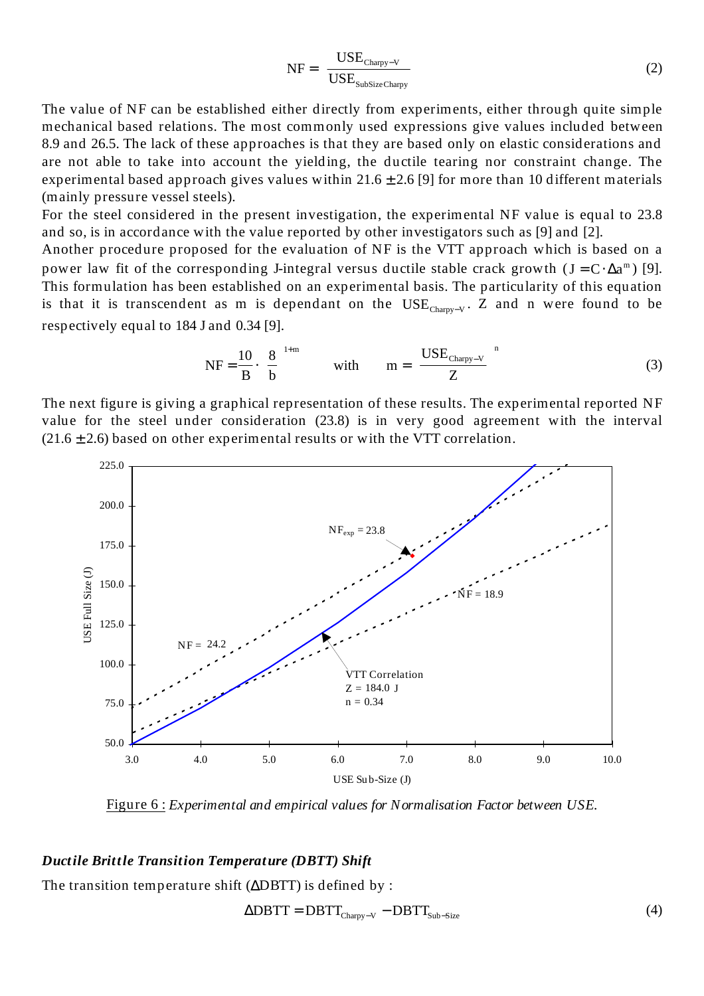$$
NF = \left(\frac{USE_{Chary-V}}{USE_{SubSizeChary}}\right)
$$
 (2)

The value of NF can be established either directly from experiments, either through quite simple mechanical based relations. The most commonly used expressions give values included between 8.9 and 26.5. The lack of these approaches is that they are based only on elastic considerations and are not able to take into account the yielding, the ductile tearing nor constraint change. The experimental based approach gives values within  $21.6 \pm 2.6$  [9] for more than 10 different materials (mainly pressure vessel steels).

For the steel considered in the present investigation, the experimental NF value is equal to 23.8 and so, is in accordance with the value reported by other investigators such as [9] and [2].

Another procedure proposed for the evaluation of NF is the VTT approach which is based on a power law fit of the corresponding J-integral versus ductile stable crack growth  $(J = C \cdot \Delta a^m)$  [9]. This formulation has been established on an experimental basis. The particularity of this equation is that it is transcendent as m is dependant on the USE<sub>Charpy-V</sub>. Z and n were found to be respectively equal to 184 J and 0.34 [9].

$$
NF = \frac{10}{B} \cdot \left(\frac{8}{b}\right)^{1+m} \qquad \text{with} \qquad m = \left(\frac{USE_{Chary-V}}{Z}\right)^{n} \tag{3}
$$

The next figure is giving a graphical representation of these results. The experimental reported NF value for the steel under consideration (23.8) is in very good agreement with the interval  $(21.6 \pm 2.6)$  based on other experimental results or with the VTT correlation.



Figure 6 : *Experimental and empirical values for Normalisation Factor between USE.*

#### *Ductile Brittle Transition Temperature (DBTT) Shift*

The transition temperature shift (∆DBTT) is defined by :

$$
\Delta \text{DBTT} = \text{DBTT}_{\text{Charpy-V}} - \text{DBTT}_{\text{Sub-Size}} \tag{4}
$$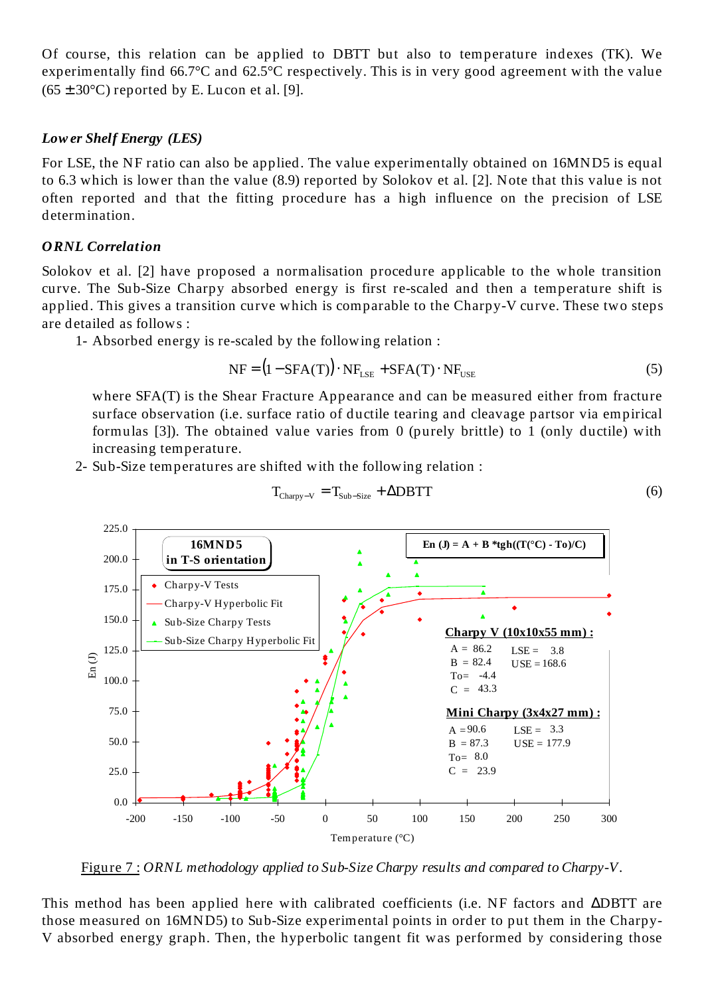Of course, this relation can be applied to DBTT but also to temperature indexes (TK). We experimentally find 66.7°C and 62.5°C respectively. This is in very good agreement with the value  $(65 \pm 30^{\circ}$ C) reported by E. Lucon et al. [9].

#### *Low er Shelf Energy (LES)*

For LSE, the NF ratio can also be applied. The value experimentally obtained on 16MND5 is equal to 6.3 which is lower than the value (8.9) reported by Solokov et al. [2]. Note that this value is not often reported and that the fitting procedure has a high influence on the precision of LSE determination.

#### *ORNL Correlation*

Solokov et al. [2] have proposed a normalisation procedure applicable to the whole transition curve. The Sub-Size Charpy absorbed energy is first re-scaled and then a temperature shift is applied. This gives a transition curve which is comparable to the Charpy-V curve. These two steps are detailed as follows :

1- Absorbed energy is re-scaled by the following relation :

$$
NF = (1 - SFA(T)) \cdot NF_{LSE} + SFA(T) \cdot NF_{USE}
$$
\n(5)

where SFA(T) is the Shear Fracture Appearance and can be measured either from fracture surface observation (i.e. surface ratio of ductile tearing and cleavage partsor via empirical formulas [3]). The obtained value varies from 0 (purely brittle) to 1 (only ductile) with increasing temperature.

2- Sub-Size temperatures are shifted with the following relation :



$$
T_{\text{Chary}-V} = T_{\text{Sub-Size}} + \Delta \text{DBTT} \tag{6}
$$

Figure 7 : *ORNL methodology applied to Sub-Size Charpy results and compared to Charpy-V.*

This method has been applied here with calibrated coefficients (i.e. NF factors and ∆DBTT are those measured on 16MND5) to Sub-Size experimental points in order to put them in the Charpy-V absorbed energy graph. Then, the hyperbolic tangent fit was performed by considering those